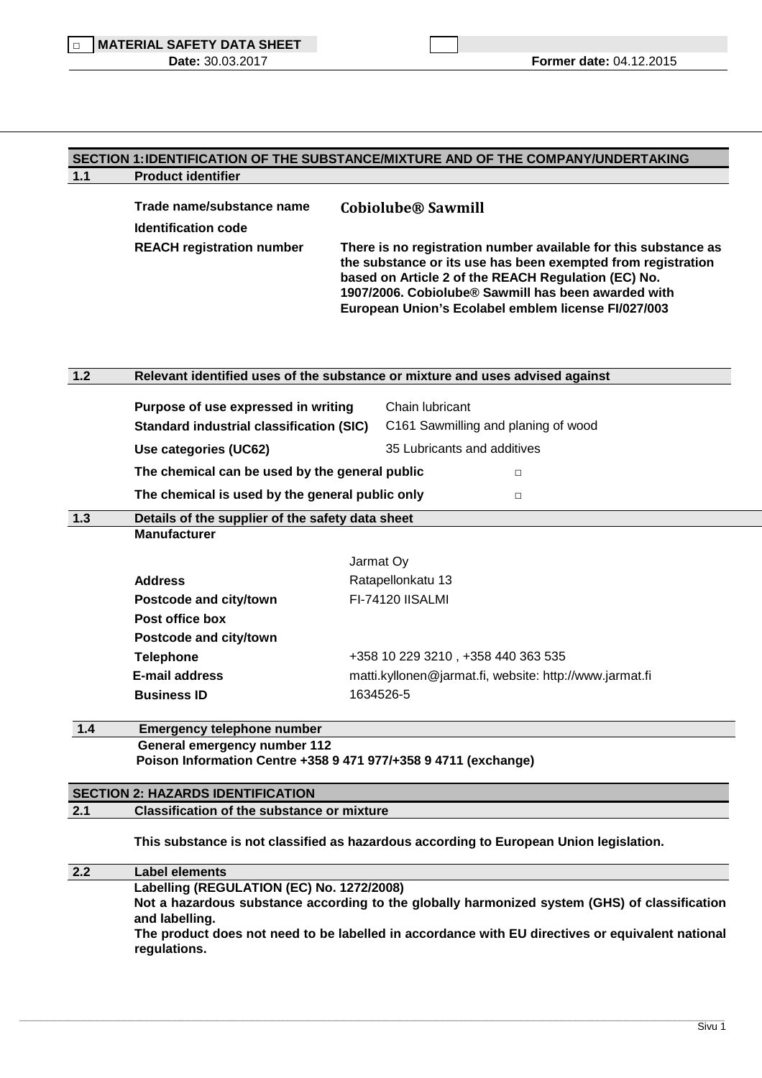## **SECTION 1: IDENTIFICATION OF THE SUBSTANCE/MIXTURE AND OF THE COMPANY/UNDERTAKING 1.1 Product identifier**

| Trade name/substance name<br><b>Identification code</b> | <b>Cobiolube® Sawmill</b>                                                                                                                                                                                                                                                                            |
|---------------------------------------------------------|------------------------------------------------------------------------------------------------------------------------------------------------------------------------------------------------------------------------------------------------------------------------------------------------------|
| <b>REACH registration number</b>                        | There is no registration number available for this substance as<br>the substance or its use has been exempted from registration<br>based on Article 2 of the REACH Regulation (EC) No.<br>1907/2006. Cobiolube® Sawmill has been awarded with<br>European Union's Ecolabel emblem license FI/027/003 |

| $1.2$ | Relevant identified uses of the substance or mixture and uses advised against |                                                         |  |
|-------|-------------------------------------------------------------------------------|---------------------------------------------------------|--|
|       | Purpose of use expressed in writing                                           | Chain lubricant                                         |  |
|       | <b>Standard industrial classification (SIC)</b>                               | C161 Sawmilling and planing of wood                     |  |
|       | Use categories (UC62)                                                         | 35 Lubricants and additives                             |  |
|       | The chemical can be used by the general public                                | П                                                       |  |
|       | The chemical is used by the general public only                               | $\Box$                                                  |  |
| 1.3   | Details of the supplier of the safety data sheet                              |                                                         |  |
|       | <b>Manufacturer</b>                                                           |                                                         |  |
|       |                                                                               | Jarmat Oy                                               |  |
|       | <b>Address</b>                                                                | Ratapellonkatu 13                                       |  |
|       | Postcode and city/town                                                        | FI-74120 IISALMI                                        |  |
|       | Post office box                                                               |                                                         |  |
|       | Postcode and city/town                                                        |                                                         |  |
|       | <b>Telephone</b>                                                              | +358 10 229 3210, +358 440 363 535                      |  |
|       | <b>E-mail address</b>                                                         | matti.kyllonen@jarmat.fi, website: http://www.jarmat.fi |  |
|       |                                                                               | 1634526-5                                               |  |

# **General emergency number 112 Poison Information Centre +358 9 471 977/+358 9 4711 (exchange)**

## **SECTION 2: HAZARDS IDENTIFICATION**

## **2.1 Classification of the substance or mixture**

**This substance is not classified as hazardous according to European Union legislation.** 

**2.2 Label elements Labelling (REGULATION (EC) No. 1272/2008) Not a hazardous substance according to the globally harmonized system (GHS) of classification and labelling. The product does not need to be labelled in accordance with EU directives or equivalent national regulations.** 

\_\_\_\_\_\_\_\_\_\_\_\_\_\_\_\_\_\_\_\_\_\_\_\_\_\_\_\_\_\_\_\_\_\_\_\_\_\_\_\_\_\_\_\_\_\_\_\_\_\_\_\_\_\_\_\_\_\_\_\_\_\_\_\_\_\_\_\_\_\_\_\_\_\_\_\_\_\_\_\_\_\_\_\_\_\_\_\_\_\_\_\_\_\_\_\_\_\_\_\_\_\_\_\_\_\_\_\_\_\_\_\_\_\_\_\_\_\_\_\_\_\_\_\_\_\_\_\_\_\_\_\_\_\_\_\_\_\_\_\_\_\_\_\_\_\_\_\_\_\_\_\_\_\_\_\_\_\_\_\_\_\_\_\_\_\_\_\_\_\_\_\_\_\_\_\_\_\_\_\_\_\_\_\_\_\_\_\_\_\_\_\_\_\_\_\_\_\_\_\_\_\_\_\_\_\_\_\_\_\_\_\_\_\_\_\_\_\_\_\_\_\_\_\_\_\_\_\_\_\_\_\_\_\_\_\_\_\_\_\_\_\_\_\_\_\_\_\_\_\_\_\_\_\_\_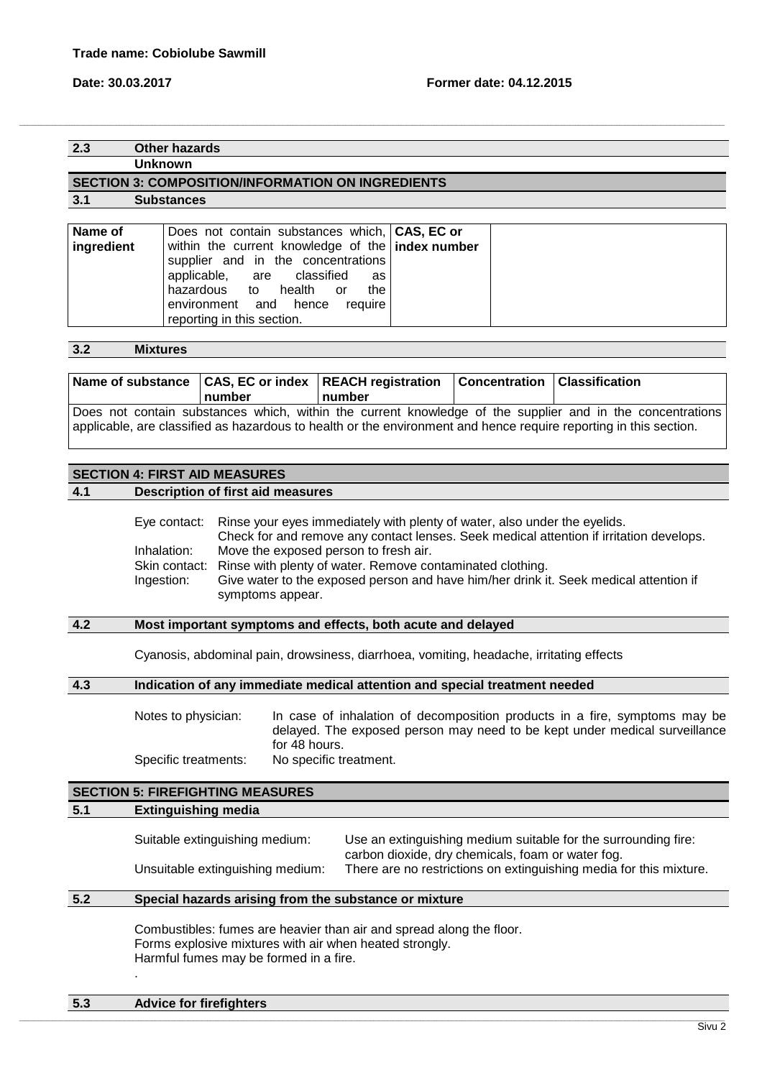**2.3 Other hazards**

**Unknown** 

## **SECTION 3: COMPOSITION/INFORMATION ON INGREDIENTS**

**3.1 Substances** 

| Name of    | Does not contain substances which, CAS, EC or    |  |
|------------|--------------------------------------------------|--|
| ingredient | within the current knowledge of the index number |  |
|            | supplier and in the concentrations               |  |
|            | applicable, are classified as                    |  |
|            | hazardous to health or<br>the                    |  |
|            | environment and hence require                    |  |
|            | reporting in this section.                       |  |

,我们也不能会在这里,我们的人们就会在这里,我们也不能会在这里,我们也不能会在这里,我们也不能会在这里,我们也不能会在这里,我们也不能会在这里,我们也不能会在这里

**3.2 Mixtures** 

| number | Name of substance CAS, EC or index REACH registration Concentration Classification<br>number |                                                                                                           |
|--------|----------------------------------------------------------------------------------------------|-----------------------------------------------------------------------------------------------------------|
|        |                                                                                              | Does not contain substances which, within the current knowledge of the supplier and in the concentrations |

applicable, are classified as hazardous to health or the environment and hence require reporting in this section.

## **SECTION 4: FIRST AID MEASURES**

**4.1 Description of first aid measures**

Eye contact: Rinse your eyes immediately with plenty of water, also under the eyelids. Check for and remove any contact lenses. Seek medical attention if irritation develops. Inhalation: Move the exposed person to fresh air. Skin contact: Rinse with plenty of water. Remove contaminated clothing. Ingestion: Give water to the exposed person and have him/her drink it. Seek medical attention if symptoms appear.

## **4.2 Most important symptoms and effects, both acute and delayed**

Cyanosis, abdominal pain, drowsiness, diarrhoea, vomiting, headache, irritating effects

## **4.3 Indication of any immediate medical attention and special treatment needed**

Notes to physician: In case of inhalation of decomposition products in a fire, symptoms may be delayed. The exposed person may need to be kept under medical surveillance for 48 hours. Specific treatments: No specific treatment.

# **SECTION 5: FIREFIGHTING MEASURES**

## **5.1 Extinguishing media**

| Suitable extinguishing medium:   | Use an extinguishing medium suitable for the surrounding fire:<br>carbon dioxide, dry chemicals, foam or water fog. |
|----------------------------------|---------------------------------------------------------------------------------------------------------------------|
| Unsuitable extinguishing medium: | There are no restrictions on extinguishing media for this mixture.                                                  |

## **5.2 Special hazards arising from the substance or mixture**

Combustibles: fumes are heavier than air and spread along the floor. Forms explosive mixtures with air when heated strongly. Harmful fumes may be formed in a fire. .

| 5.3<br><b>Advice for firefighters</b> |  |
|---------------------------------------|--|
|---------------------------------------|--|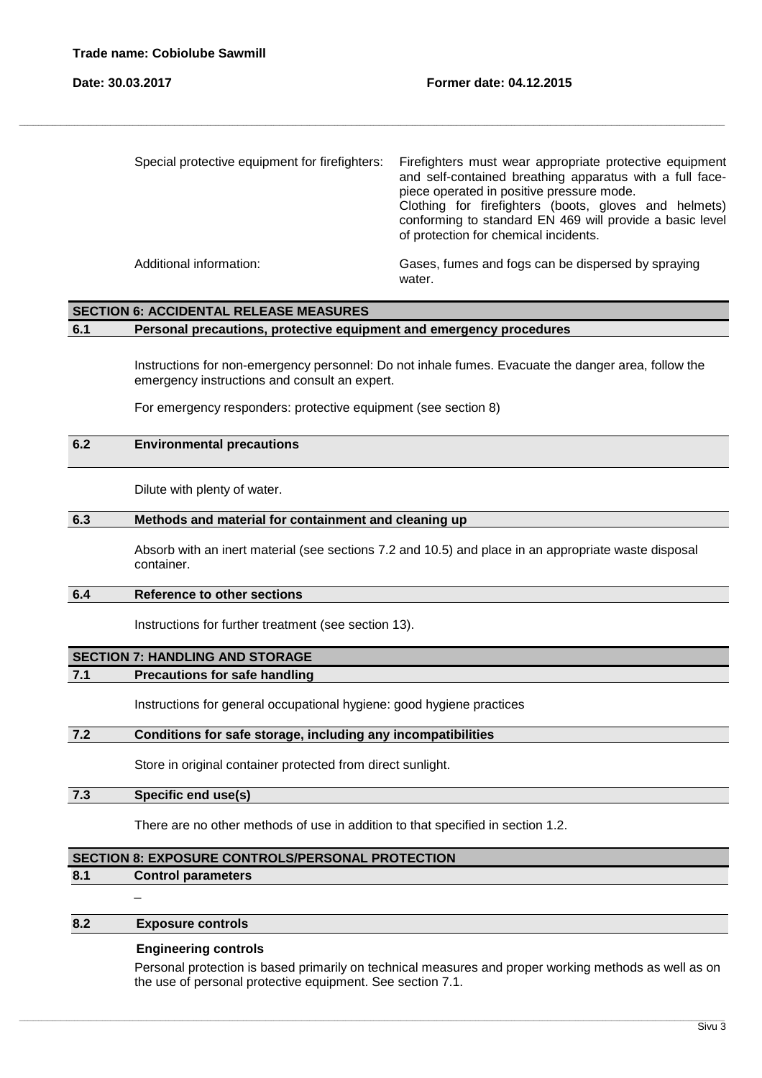| Special protective equipment for firefighters: | Firefighters must wear appropriate protective equipment<br>and self-contained breathing apparatus with a full face-<br>piece operated in positive pressure mode.<br>Clothing for firefighters (boots, gloves and helmets)<br>conforming to standard EN 469 will provide a basic level<br>of protection for chemical incidents. |
|------------------------------------------------|--------------------------------------------------------------------------------------------------------------------------------------------------------------------------------------------------------------------------------------------------------------------------------------------------------------------------------|
| Additional information:                        | Gases, fumes and fogs can be dispersed by spraying<br>water.                                                                                                                                                                                                                                                                   |

,我们也不能会在这里,我们的人们就会在这里,我们也不能会在这里,我们也不能会在这里,我们也不能会在这里,我们也不能会在这里,我们也不能会在这里,我们也不能会在这里

## **SECTION 6: ACCIDENTAL RELEASE MEASURES**

## **6.1 Personal precautions, protective equipment and emergency procedures**

Instructions for non-emergency personnel: Do not inhale fumes. Evacuate the danger area, follow the emergency instructions and consult an expert.

For emergency responders: protective equipment (see section 8)

## **6.2 Environmental precautions**

Dilute with plenty of water.

#### **6.3 Methods and material for containment and cleaning up**

Absorb with an inert material (see sections 7.2 and 10.5) and place in an appropriate waste disposal container.

## **6.4 Reference to other sections**

Instructions for further treatment (see section 13).

## **SECTION 7: HANDLING AND STORAGE**

### **7.1 Precautions for safe handling**

Instructions for general occupational hygiene: good hygiene practices

## **7.2 Conditions for safe storage, including any incompatibilities**

Store in original container protected from direct sunlight.

## **7.3 Specific end use(s)**

There are no other methods of use in addition to that specified in section 1.2.

\_\_\_\_\_\_\_\_\_\_\_\_\_\_\_\_\_\_\_\_\_\_\_\_\_\_\_\_\_\_\_\_\_\_\_\_\_\_\_\_\_\_\_\_\_\_\_\_\_\_\_\_\_\_\_\_\_\_\_\_\_\_\_\_\_\_\_\_\_\_\_\_\_\_\_\_\_\_\_\_\_\_\_\_\_\_\_\_\_\_\_\_\_\_\_\_\_\_\_\_\_\_\_\_\_\_\_\_\_\_\_\_\_\_\_\_\_\_\_\_\_\_\_\_\_\_\_\_\_\_\_\_\_\_\_\_\_\_\_\_\_\_\_\_\_\_\_\_\_\_\_\_\_\_\_\_\_\_\_\_\_\_\_\_\_\_\_\_\_\_\_\_\_\_\_\_\_\_\_\_\_\_\_\_\_\_\_\_\_\_\_\_\_\_\_\_\_\_\_\_\_\_\_\_\_\_\_\_\_\_\_\_\_\_\_\_\_\_\_\_\_\_\_\_\_\_\_\_\_\_\_\_\_\_\_\_\_\_\_\_\_\_\_\_\_\_\_\_\_\_\_\_\_\_\_

### **SECTION 8: EXPOSURE CONTROLS/PERSONAL PROTECTION**

### **8.1 Control parameters**

 $\overline{a}$ 

## **8.2 Exposure controls**

## **Engineering controls**

Personal protection is based primarily on technical measures and proper working methods as well as on the use of personal protective equipment. See section 7.1.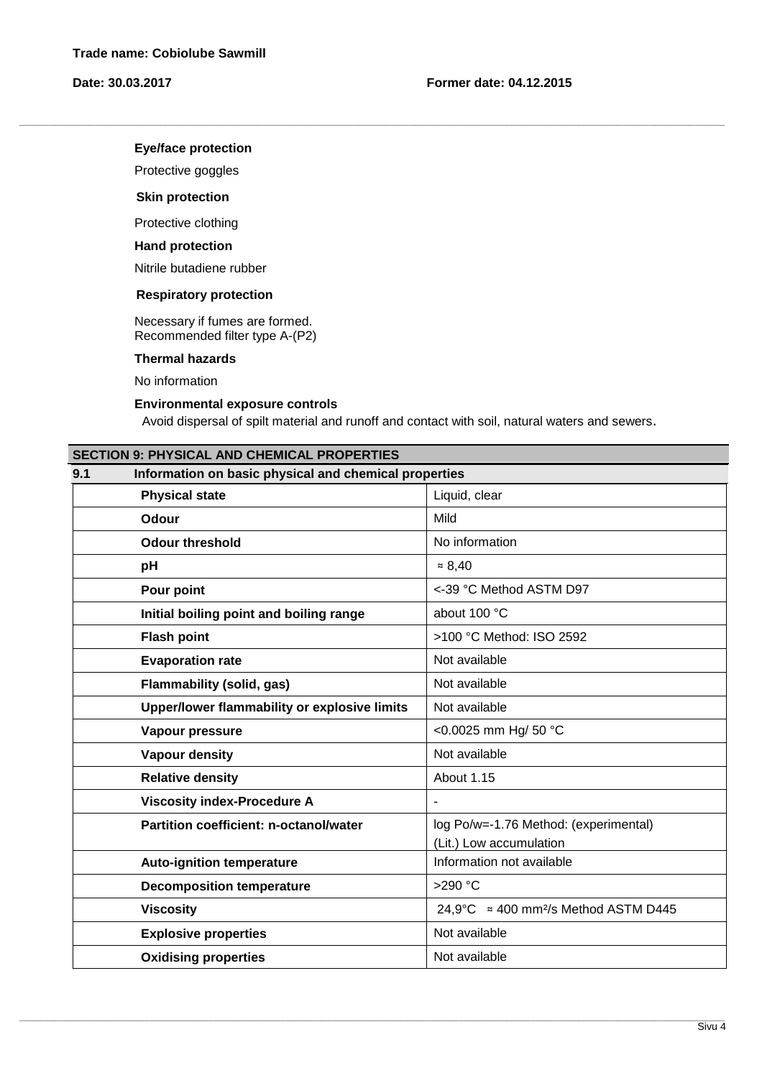## **Eye/face protection**

Protective goggles

## **Skin protection**

Protective clothing

## **Hand protection**

Nitrile butadiene rubber

## **Respiratory protection**

 Necessary if fumes are formed. Recommended filter type A-(P2)

**Thermal hazards** 

No information

## **Environmental exposure controls**

Avoid dispersal of spilt material and runoff and contact with soil, natural waters and sewers.

,我们也不能会在这里,我们的人们就会在这里,我们也不能会在这里,我们也不能会在这里,我们也不能会在这里,我们也不能会在这里,我们也不能会在这里,我们也不能会在这里

| <b>SECTION 9: PHYSICAL AND CHEMICAL PROPERTIES</b>           |  |  |
|--------------------------------------------------------------|--|--|
| Information on basic physical and chemical properties<br>9.1 |  |  |
| Liquid, clear                                                |  |  |
| Mild                                                         |  |  |
| No information                                               |  |  |
| $= 8,40$                                                     |  |  |
| <-39 °C Method ASTM D97                                      |  |  |
| about 100 °C                                                 |  |  |
| >100 °C Method: ISO 2592                                     |  |  |
| Not available                                                |  |  |
| Not available                                                |  |  |
| Not available                                                |  |  |
| <0.0025 mm Hg/ 50 °C                                         |  |  |
| Not available                                                |  |  |
| About 1.15                                                   |  |  |
|                                                              |  |  |
| log Po/w=-1.76 Method: (experimental)                        |  |  |
| (Lit.) Low accumulation                                      |  |  |
| Information not available                                    |  |  |
| >290 °C                                                      |  |  |
| 24.9°C $\approx$ 400 mm <sup>2</sup> /s Method ASTM D445     |  |  |
| Not available                                                |  |  |
| Not available                                                |  |  |
|                                                              |  |  |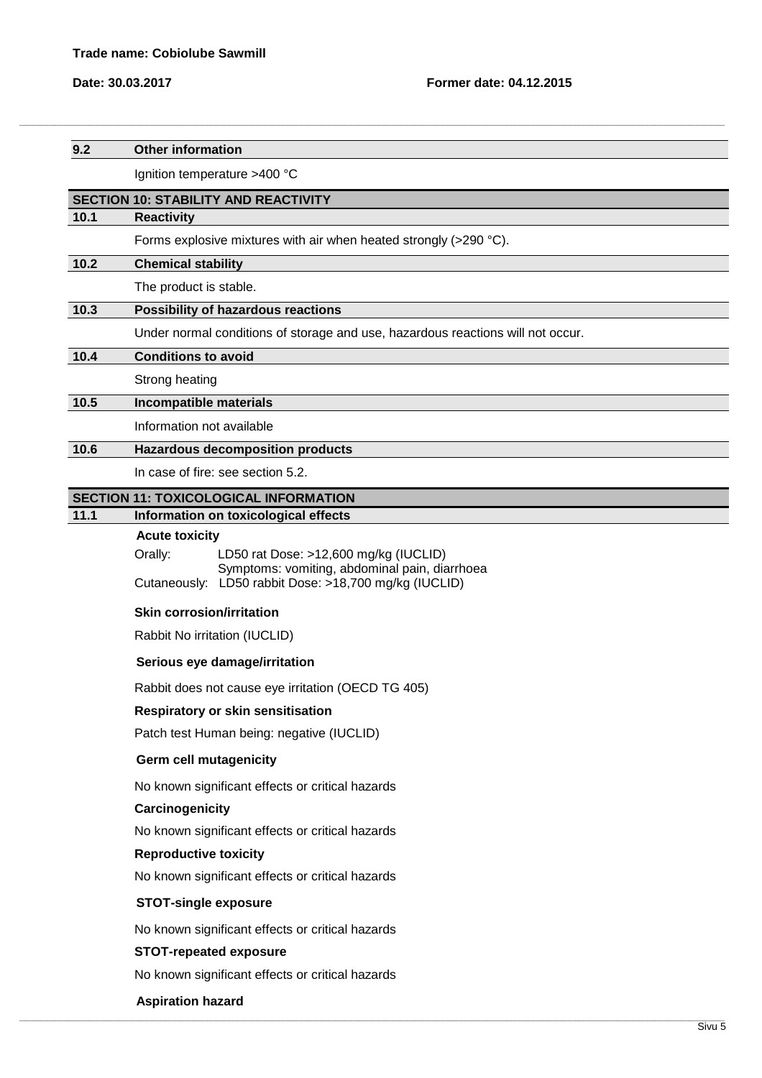| 9.2  | <b>Other information</b>                                                                                                                                   |
|------|------------------------------------------------------------------------------------------------------------------------------------------------------------|
|      | Ignition temperature >400 °C                                                                                                                               |
|      | <b>SECTION 10: STABILITY AND REACTIVITY</b>                                                                                                                |
| 10.1 | <b>Reactivity</b>                                                                                                                                          |
|      | Forms explosive mixtures with air when heated strongly (>290 °C).                                                                                          |
| 10.2 | <b>Chemical stability</b>                                                                                                                                  |
|      | The product is stable.                                                                                                                                     |
| 10.3 | Possibility of hazardous reactions                                                                                                                         |
|      | Under normal conditions of storage and use, hazardous reactions will not occur.                                                                            |
| 10.4 | <b>Conditions to avoid</b>                                                                                                                                 |
|      | Strong heating                                                                                                                                             |
| 10.5 | Incompatible materials                                                                                                                                     |
|      | Information not available                                                                                                                                  |
| 10.6 | <b>Hazardous decomposition products</b>                                                                                                                    |
|      | In case of fire: see section 5.2.                                                                                                                          |
|      | <b>SECTION 11: TOXICOLOGICAL INFORMATION</b>                                                                                                               |
| 11.1 | Information on toxicological effects<br><b>Acute toxicity</b>                                                                                              |
|      | Orally:<br>LD50 rat Dose: >12,600 mg/kg (IUCLID)<br>Symptoms: vomiting, abdominal pain, diarrhoea<br>Cutaneously: LD50 rabbit Dose: >18,700 mg/kg (IUCLID) |
|      | <b>Skin corrosion/irritation</b>                                                                                                                           |
|      | Rabbit No irritation (IUCLID)                                                                                                                              |
|      | Serious eye damage/irritation                                                                                                                              |
|      | Rabbit does not cause eye irritation (OECD TG 405)                                                                                                         |
|      | <b>Respiratory or skin sensitisation</b>                                                                                                                   |
|      | Patch test Human being: negative (IUCLID)                                                                                                                  |
|      | <b>Germ cell mutagenicity</b>                                                                                                                              |
|      | No known significant effects or critical hazards                                                                                                           |
|      | Carcinogenicity                                                                                                                                            |
|      | No known significant effects or critical hazards                                                                                                           |
|      | <b>Reproductive toxicity</b>                                                                                                                               |
|      | No known significant effects or critical hazards                                                                                                           |
|      | <b>STOT-single exposure</b>                                                                                                                                |
|      | No known significant effects or critical hazards                                                                                                           |
|      | <b>STOT-repeated exposure</b>                                                                                                                              |
|      | No known significant effects or critical hazards                                                                                                           |
|      | <b>Aspiration hazard</b>                                                                                                                                   |
|      |                                                                                                                                                            |

,我们也不能会在这里,我们的人们就会在这里,我们也不能会在这里,我们也不能会在这里,我们也不能会在这里,我们也不能会在这里,我们也不能会在这里,我们也不能会在这里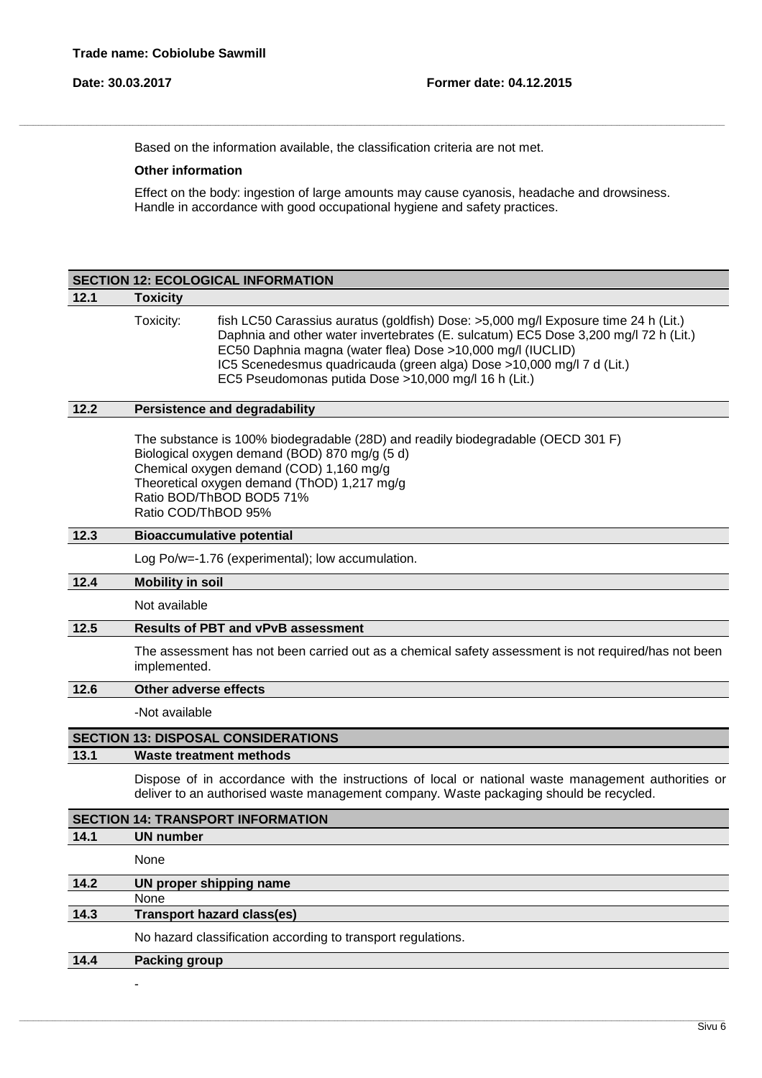-

Based on the information available, the classification criteria are not met.

,我们也不能会在这里,我们的人们就会在这里,我们也不能会在这里,我们也不能会在这里,我们也不能会在这里,我们也不能会在这里,我们也不能会在这里,我们也不能会在这里

#### **Other information**

**SECTION 12: ECOLOGICAL INFORMATION**

Effect on the body: ingestion of large amounts may cause cyanosis, headache and drowsiness. Handle in accordance with good occupational hygiene and safety practices.

# **12.1 Toxicity** Toxicity: fish LC50 Carassius auratus (goldfish) Dose: >5,000 mg/l Exposure time 24 h (Lit.) Daphnia and other water invertebrates (E. sulcatum) EC5 Dose 3,200 mg/l 72 h (Lit.) EC50 Daphnia magna (water flea) Dose >10,000 mg/l (IUCLID) IC5 Scenedesmus quadricauda (green alga) Dose >10,000 mg/l 7 d (Lit.) EC5 Pseudomonas putida Dose >10,000 mg/l 16 h (Lit.) **12.2 Persistence and degradability** The substance is 100% biodegradable (28D) and readily biodegradable (OECD 301 F) Biological oxygen demand (BOD) 870 mg/g (5 d) Chemical oxygen demand (COD) 1,160 mg/g Theoretical oxygen demand (ThOD) 1,217 mg/g Ratio BOD/ThBOD BOD5 71% Ratio COD/ThBOD 95% **12.3 Bioaccumulative potential** Log Po/w=-1.76 (experimental); low accumulation. **12.4 Mobility in soil** Not available **12.5 Results of PBT and vPvB assessment** The assessment has not been carried out as a chemical safety assessment is not required/has not been implemented. **12.6 Other adverse effects** -Not available **SECTION 13: DISPOSAL CONSIDERATIONS 13.1 Waste treatment methods** Dispose of in accordance with the instructions of local or national waste management authorities or deliver to an authorised waste management company. Waste packaging should be recycled. **SECTION 14: TRANSPORT INFORMATION**

|      | <b>SECTION 14. IRANSPURT INFORMATION</b>                     |
|------|--------------------------------------------------------------|
| 14.1 | <b>UN number</b>                                             |
|      | None                                                         |
| 14.2 | UN proper shipping name                                      |
|      | None                                                         |
| 14.3 | <b>Transport hazard class(es)</b>                            |
|      | No hazard classification according to transport regulations. |
| 14.4 | <b>Packing group</b>                                         |

\_\_\_\_\_\_\_\_\_\_\_\_\_\_\_\_\_\_\_\_\_\_\_\_\_\_\_\_\_\_\_\_\_\_\_\_\_\_\_\_\_\_\_\_\_\_\_\_\_\_\_\_\_\_\_\_\_\_\_\_\_\_\_\_\_\_\_\_\_\_\_\_\_\_\_\_\_\_\_\_\_\_\_\_\_\_\_\_\_\_\_\_\_\_\_\_\_\_\_\_\_\_\_\_\_\_\_\_\_\_\_\_\_\_\_\_\_\_\_\_\_\_\_\_\_\_\_\_\_\_\_\_\_\_\_\_\_\_\_\_\_\_\_\_\_\_\_\_\_\_\_\_\_\_\_\_\_\_\_\_\_\_\_\_\_\_\_\_\_\_\_\_\_\_\_\_\_\_\_\_\_\_\_\_\_\_\_\_\_\_\_\_\_\_\_\_\_\_\_\_\_\_\_\_\_\_\_\_\_\_\_\_\_\_\_\_\_\_\_\_\_\_\_\_\_\_\_\_\_\_\_\_\_\_\_\_\_\_\_\_\_\_\_\_\_\_\_\_\_\_\_\_\_\_\_